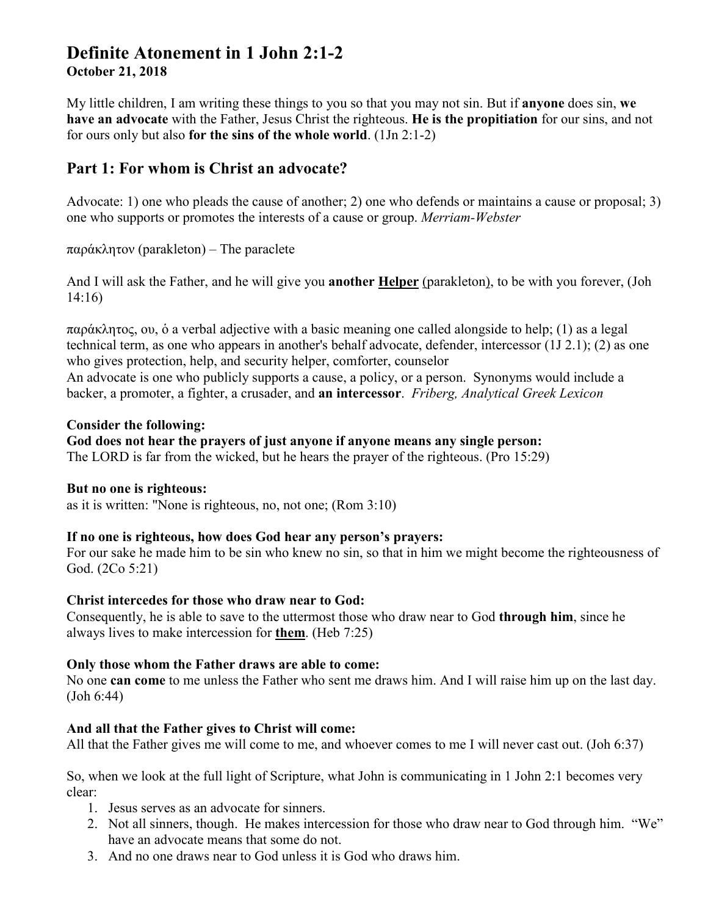# **Definite Atonement in 1 John 2:1-2 October 21, 2018**

My little children, I am writing these things to you so that you may not sin. But if **anyone** does sin, **we have an advocate** with the Father, Jesus Christ the righteous. **He is the propitiation** for our sins, and not for ours only but also **for the sins of the whole world**. (1Jn 2:1-2)

# **Part 1: For whom is Christ an advocate?**

Advocate: 1) one who pleads the cause of another; 2) one who defends or maintains a cause or proposal; 3) one who supports or promotes the interests of a cause or group. *Merriam-Webster*

παράκλητον (parakleton) – The paraclete

And I will ask the Father, and he will give you **another Helper** (parakleton), to be with you forever, (Joh 14:16)

παράκλητος, ου, ὁ a verbal adjective with a basic meaning one called alongside to help; (1) as a legal technical term, as one who appears in another's behalf advocate, defender, intercessor (1J 2.1); (2) as one who gives protection, help, and security helper, comforter, counselor

An advocate is one who publicly supports a cause, a policy, or a person. Synonyms would include a backer, a promoter, a fighter, a crusader, and **an intercessor**. *Friberg, Analytical Greek Lexicon* 

#### **Consider the following:**

## **God does not hear the prayers of just anyone if anyone means any single person:**

The LORD is far from the wicked, but he hears the prayer of the righteous. (Pro 15:29)

#### **But no one is righteous:**

as it is written: "None is righteous, no, not one; (Rom 3:10)

#### **If no one is righteous, how does God hear any person's prayers:**

For our sake he made him to be sin who knew no sin, so that in him we might become the righteousness of God. (2Co 5:21)

#### **Christ intercedes for those who draw near to God:**

Consequently, he is able to save to the uttermost those who draw near to God **through him**, since he always lives to make intercession for **them**. (Heb 7:25)

#### **Only those whom the Father draws are able to come:**

No one **can come** to me unless the Father who sent me draws him. And I will raise him up on the last day. (Joh 6:44)

#### **And all that the Father gives to Christ will come:**

All that the Father gives me will come to me, and whoever comes to me I will never cast out. (Joh 6:37)

So, when we look at the full light of Scripture, what John is communicating in 1 John 2:1 becomes very clear:

- 1. Jesus serves as an advocate for sinners.
- 2. Not all sinners, though. He makes intercession for those who draw near to God through him. "We" have an advocate means that some do not.
- 3. And no one draws near to God unless it is God who draws him.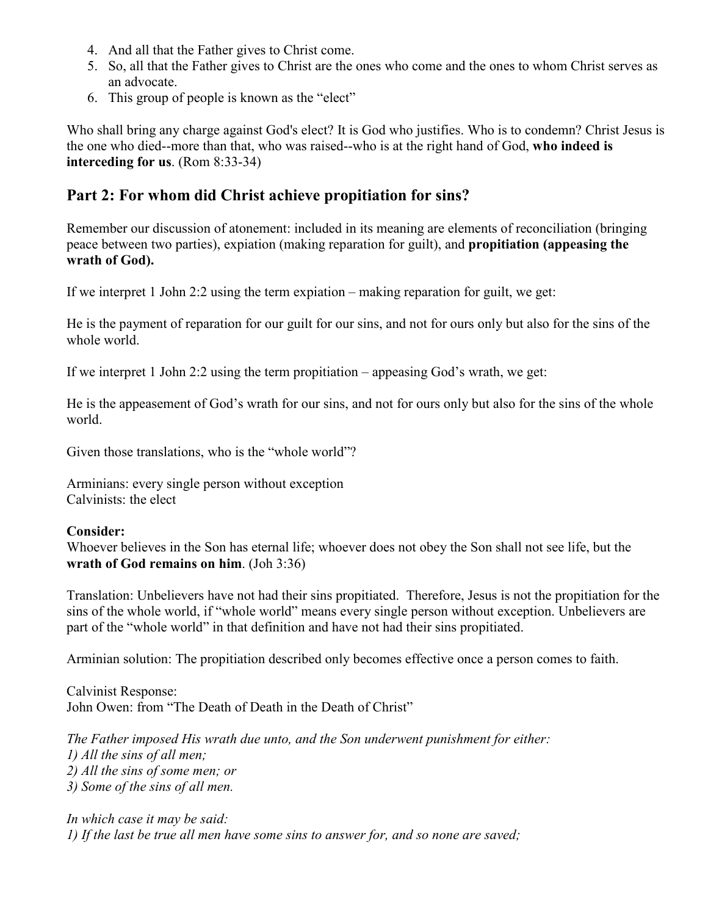- 4. And all that the Father gives to Christ come.
- 5. So, all that the Father gives to Christ are the ones who come and the ones to whom Christ serves as an advocate.
- 6. This group of people is known as the "elect"

Who shall bring any charge against God's elect? It is God who justifies. Who is to condemn? Christ Jesus is the one who died--more than that, who was raised--who is at the right hand of God, **who indeed is interceding for us**. (Rom 8:33-34)

## **Part 2: For whom did Christ achieve propitiation for sins?**

Remember our discussion of atonement: included in its meaning are elements of reconciliation (bringing peace between two parties), expiation (making reparation for guilt), and **propitiation (appeasing the wrath of God).** 

If we interpret 1 John 2:2 using the term expiation – making reparation for guilt, we get:

He is the payment of reparation for our guilt for our sins, and not for ours only but also for the sins of the whole world.

If we interpret 1 John 2:2 using the term propitiation – appeasing God's wrath, we get:

He is the appeasement of God's wrath for our sins, and not for ours only but also for the sins of the whole world.

Given those translations, who is the "whole world"?

Arminians: every single person without exception Calvinists: the elect

## **Consider:**

Whoever believes in the Son has eternal life; whoever does not obey the Son shall not see life, but the **wrath of God remains on him**. (Joh 3:36)

Translation: Unbelievers have not had their sins propitiated. Therefore, Jesus is not the propitiation for the sins of the whole world, if "whole world" means every single person without exception. Unbelievers are part of the "whole world" in that definition and have not had their sins propitiated.

Arminian solution: The propitiation described only becomes effective once a person comes to faith.

Calvinist Response: John Owen: from "The Death of Death in the Death of Christ"

*The Father imposed His wrath due unto, and the Son underwent punishment for either: 1) All the sins of all men; 2) All the sins of some men; or 3) Some of the sins of all men.* 

*In which case it may be said: 1) If the last be true all men have some sins to answer for, and so none are saved;*